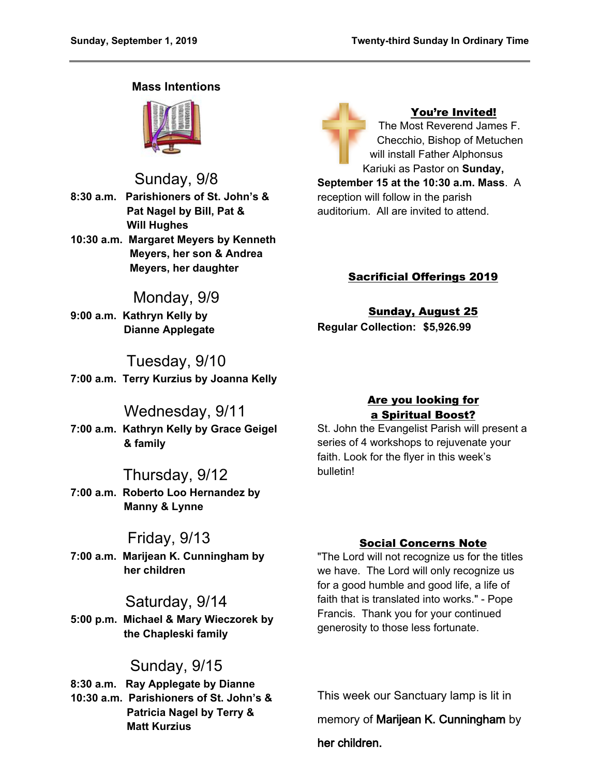### **Mass Intentions**



Sunday, 9/8 **8:30 a.m. Parishioners of St. John's & Pat Nagel by Bill, Pat & Will Hughes**

**10:30 a.m. Margaret Meyers by Kenneth Meyers, her son & Andrea Meyers, her daughter**

# Monday, 9/9

**9:00 a.m. Kathryn Kelly by Dianne Applegate**

# Tuesday, 9/10

**7:00 a.m. Terry Kurzius by Joanna Kelly**

## Wednesday, 9/11

**7:00 a.m. Kathryn Kelly by Grace Geigel & family**

## Thursday, 9/12

**7:00 a.m. Roberto Loo Hernandez by Manny & Lynne**

## Friday, 9/13

**7:00 a.m. Marijean K. Cunningham by her children**

## Saturday, 9/14

**5:00 p.m. Michael & Mary Wieczorek by the Chapleski family**

# Sunday, 9/15

**8:30 a.m. Ray Applegate by Dianne 10:30 a.m. Parishioners of St. John's & Patricia Nagel by Terry & Matt Kurzius**

You're Invited! The Most Reverend James F. Checchio, Bishop of Metuchen will install Father Alphonsus Kariuki as Pastor on **Sunday, September 15 at the 10:30 a.m. Mass**. A reception will follow in the parish auditorium. All are invited to attend.

## Sacrificial Offerings 2019

Sunday, August 25 **Regular Collection: \$5,926.99**

## Are you looking for a Spiritual Boost?

St. John the Evangelist Parish will present a series of 4 workshops to rejuvenate your faith. Look for the flyer in this week's bulletin!

## Social Concerns Note

"The Lord will not recognize us for the titles we have. The Lord will only recognize us for a good humble and good life, a life of faith that is translated into works." - Pope Francis. Thank you for your continued generosity to those less fortunate.

This week our Sanctuary lamp is lit in memory of **Marijean K. Cunningham** by **her children.**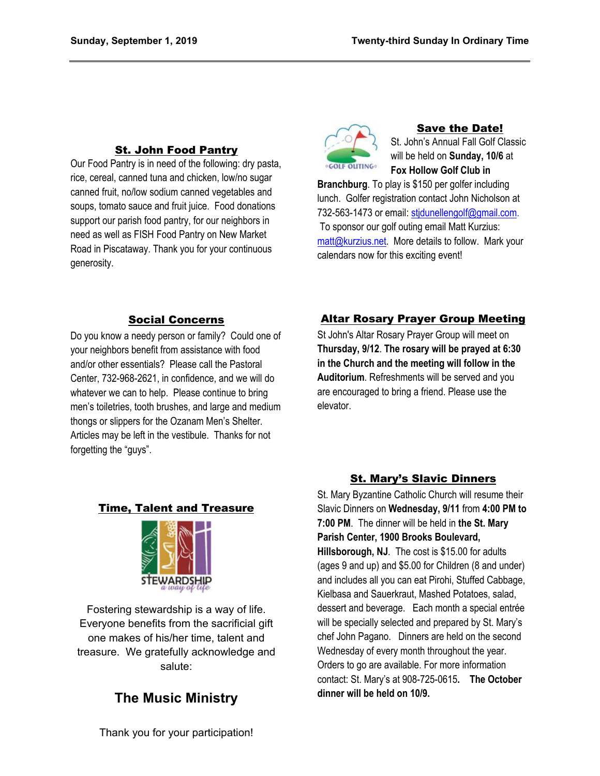### St. John Food Pantry

Our Food Pantry is in need of the following: dry pasta, rice, cereal, canned tuna and chicken, low/no sugar canned fruit, no/low sodium canned vegetables and soups, tomato sauce and fruit juice. Food donations support our parish food pantry, for our neighbors in need as well as FISH Food Pantry on New Market Road in Piscataway. Thank you for your continuous generosity.



## Save the Date!

St. John's Annual Fall Golf Classic will be held on **Sunday, 10/6** at **Fox Hollow Golf Club in** 

**Branchburg**. To play is \$150 per golfer including lunch. Golfer registration contact John Nicholson at 732-563-1473 or email: [stjdunellengolf@gmail.com.](mailto:stjdunellengolf@gmail.com) To sponsor our golf outing email Matt Kurzius: [matt@kurzius.net](mailto:matt@kurzius.net). More details to follow. Mark your calendars now for this exciting event!

### Social Concerns

Do you know a needy person or family? Could one of your neighbors benefit from assistance with food and/or other essentials? Please call the Pastoral Center, 732-968-2621, in confidence, and we will do whatever we can to help. Please continue to bring men's toiletries, tooth brushes, and large and medium thongs or slippers for the Ozanam Men's Shelter. Articles may be left in the vestibule. Thanks for not forgetting the "guys".

### Altar Rosary Prayer Group Meeting

St John's Altar Rosary Prayer Group will meet on **Thursday, 9/12**. **The rosary will be prayed at 6:30 in the Church and the meeting will follow in the Auditorium**. Refreshments will be served and you are encouraged to bring a friend. Please use the elevator.

### Time, Talent and Treasure



Fostering stewardship is a way of life. Everyone benefits from the sacrificial gift one makes of his/her time, talent and treasure. We gratefully acknowledge and salute:

## **The Music Ministry**

#### **St. Mary's Slavic Dinners**

St. Mary Byzantine Catholic Church will resume their Slavic Dinners on **Wednesday, 9/11** from **4:00 PM to 7:00 PM**. The dinner will be held in **the St. Mary Parish Center, 1900 Brooks Boulevard, Hillsborough, NJ***.* The cost is \$15.00 for adults (ages 9 and up) and \$5.00 for Children (8 and under) and includes all you can eat Pirohi, Stuffed Cabbage, Kielbasa and Sauerkraut, Mashed Potatoes, salad, dessert and beverage. Each month a special entrée will be specially selected and prepared by St. Mary's chef John Pagano. Dinners are held on the second Wednesday of every month throughout the year. Orders to go are available. For more information contact: St. Mary's at 908-725-0615**. The October dinner will be held on 10/9.**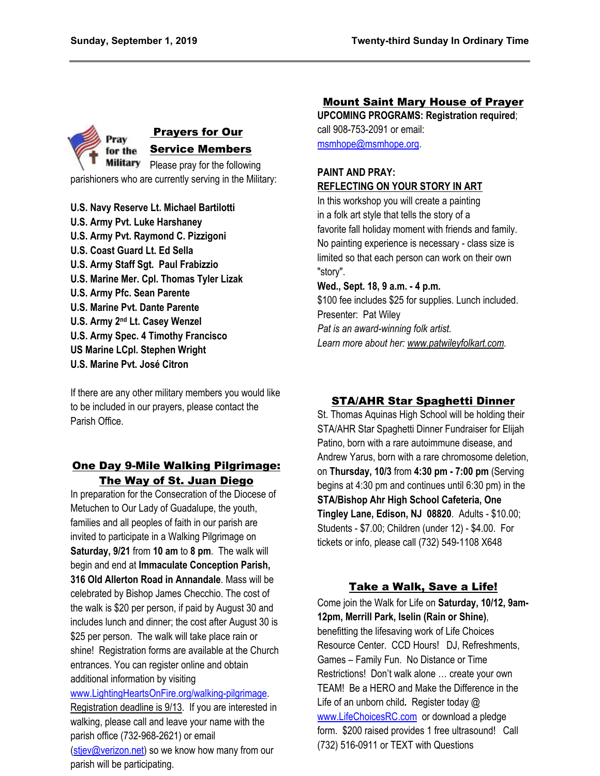

**U.S. Navy Reserve Lt. Michael Bartilotti U.S. Army Pvt. Luke Harshaney U.S. Army Pvt. Raymond C. Pizzigoni U.S. Coast Guard Lt. Ed Sella U.S. Army Staff Sgt. Paul Frabizzio U.S. Marine Mer. Cpl. Thomas Tyler Lizak U.S. Army Pfc. Sean Parente U.S. Marine Pvt. Dante Parente U.S. Army 2nd Lt. Casey Wenzel U.S. Army Spec. 4 Timothy Francisco US Marine LCpl. Stephen Wright U.S. Marine Pvt. José Citron**

If there are any other military members you would like to be included in our prayers, please contact the Parish Office.

### One Day 9-Mile Walking Pilgrimage: The Way of St. Juan Diego

In preparation for the Consecration of the Diocese of Metuchen to Our Lady of Guadalupe, the youth, families and all peoples of faith in our parish are invited to participate in a Walking Pilgrimage on **Saturday, 9/21** from **10 am** to **8 pm**. The walk will begin and end at **Immaculate Conception Parish, 316 Old Allerton Road in Annandale**. Mass will be celebrated by Bishop James Checchio. The cost of the walk is \$20 per person, if paid by August 30 and includes lunch and dinner; the cost after August 30 is \$25 per person. The walk will take place rain or shine! Registration forms are available at the Church entrances. You can register online and obtain additional information by visiting

[www.LightingHeartsOnFire.org/walking-pilgrimage.](http://www.lightingheartsonfire.org/walking-pilgrimage) Registration deadline is 9/13. If you are interested in walking, please call and leave your name with the parish office (732-968-2621) or email [\(stjev@verizon.net\)](mailto:stjev@verizon.net) so we know how many from our parish will be participating.

### Mount Saint Mary House of Prayer

**UPCOMING PROGRAMS: Registration required**; call 908-753-2091 or email: [msmhope@msmhope.org.](mailto:msmhope@msmhope.org)

### **PAINT AND PRAY: REFLECTING ON YOUR STORY IN ART**

In this workshop you will create a painting in a folk art style that tells the story of a favorite fall holiday moment with friends and family. No painting experience is necessary - class size is limited so that each person can work on their own "story".

#### **Wed., Sept. 18, 9 a.m. - 4 p.m.**

\$100 fee includes \$25 for supplies. Lunch included. Presenter: Pat Wiley *Pat is an award-winning folk artist.* 

*Learn more about her: [www.patwileyfolkart.com.](http://www.patwileyfolkart.com/)*

### STA/AHR Star Spaghetti Dinner

St. Thomas Aquinas High School will be holding their STA/AHR Star Spaghetti Dinner Fundraiser for Elijah Patino, born with a rare autoimmune disease, and Andrew Yarus, born with a rare chromosome deletion, on **Thursday, 10/3** from **4:30 pm - 7:00 pm** (Serving begins at 4:30 pm and continues until 6:30 pm) in the **STA/Bishop Ahr High School Cafeteria, One Tingley Lane, Edison, NJ 08820**. Adults - \$10.00; Students - \$7.00; Children (under 12) - \$4.00. For tickets or info, please call (732) 549-1108 X648

### Take a Walk, Save a Life!

Come join the Walk for Life on **Saturday, 10/12, 9am-12pm, Merrill Park, Iselin (Rain or Shine)**, benefitting the lifesaving work of Life Choices Resource Center. CCD Hours! DJ, Refreshments, Games – Family Fun. No Distance or Time Restrictions! Don't walk alone … create your own TEAM! Be a HERO and Make the Difference in the Life of an unborn child*.* Register today @ [www.LifeChoicesRC.com](http://www.lifechoicesrc.com/) or download a pledge form. \$200 raised provides 1 free ultrasound!Call (732) 516-0911 or TEXT with Questions